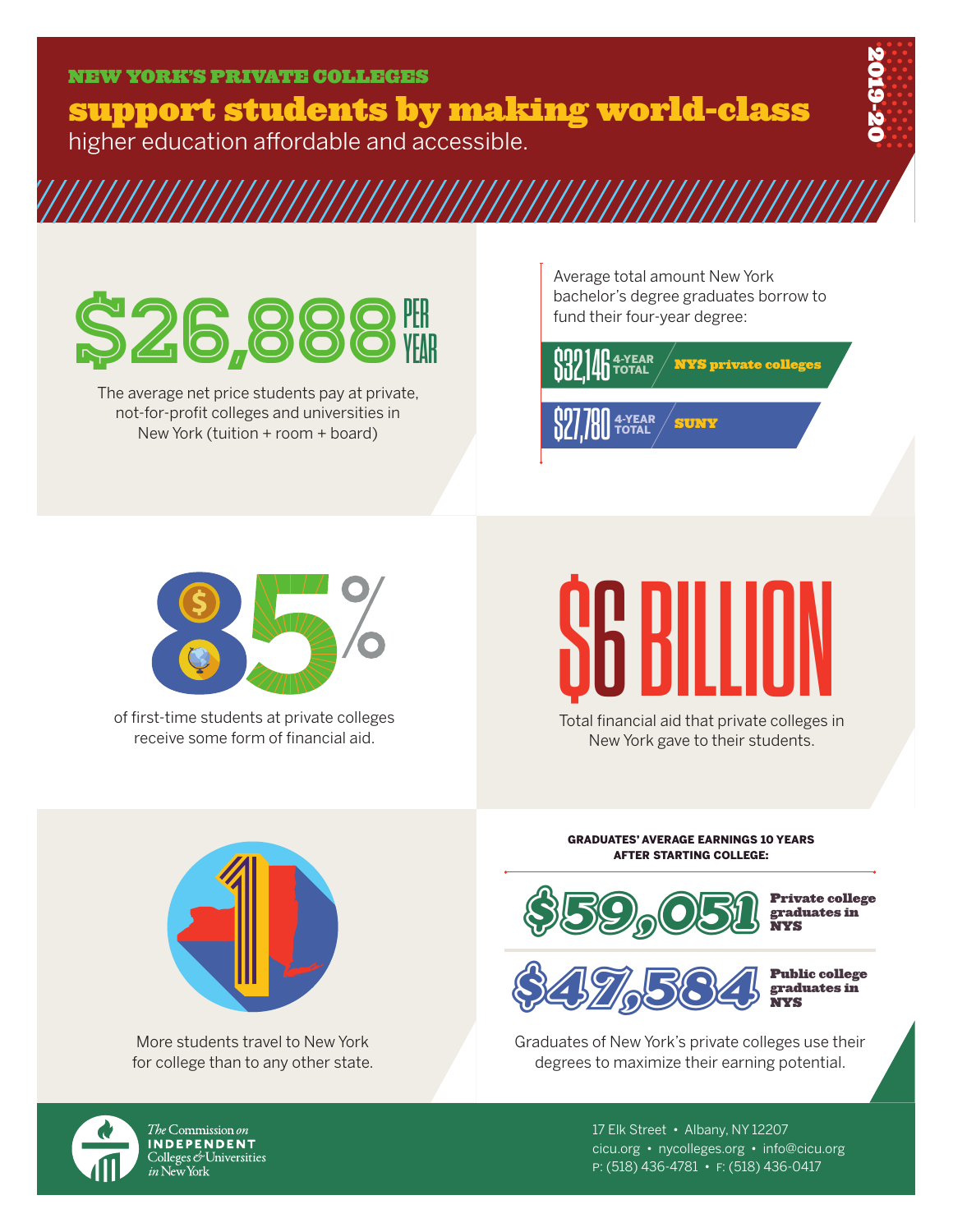support students by making world-class higher education affordable and accessible.



## **S26**

The average net price students pay at private, not-for-profit colleges and universities in New York (tuition + room + board)

Average total amount New York bachelor's degree graduates borrow to fund their four-year degree:





of first-time students at private colleges receive some form of financial aid.

## SBILLION

Total financial aid that private colleges in New York gave to their students.



More students travel to New York for college than to any other state. GRADUATES' AVERAGE EARNINGS 10 YEARS AFTER STARTING COLLEGE:



Private college graduates in NYS



Public college graduates in NYS

Graduates of New York's private colleges use their degrees to maximize their earning potential.



*The* Commission *on* INDEPENDENT Colleges & Universities<br>Colleges & Universities<br>*in* New York 17 Elk Street • Albany, NY 12207 cicu.org • nycolleges.org • info@cicu.org p: (518) 436-4781 • f: (518) 436-0417